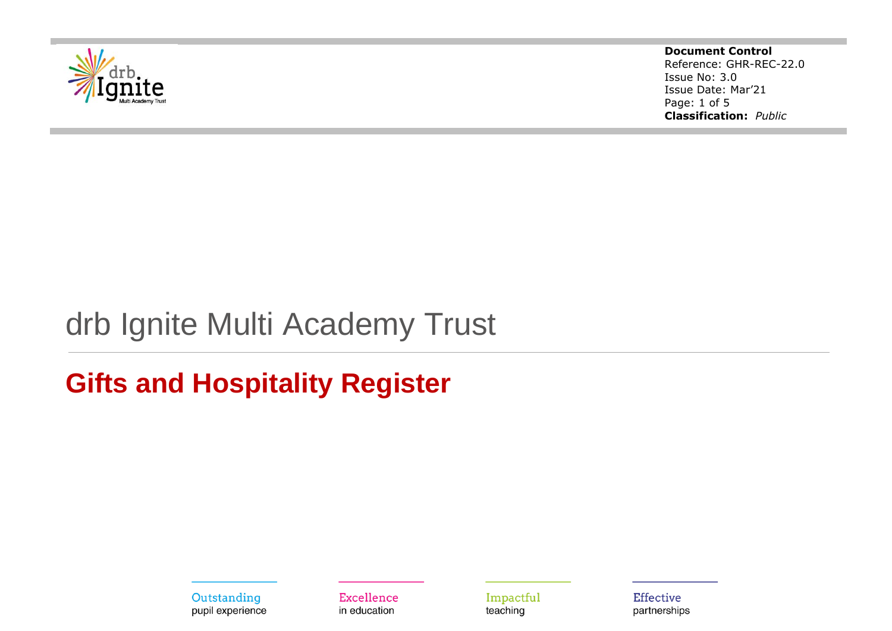

**Document Control** Reference: GHR-REC-22.0 Issue No: 3.0 Issue Date: Mar'21 Page: 1 of 5 **Classification:** *Public*

# drb Ignite Multi Academy Trust

## **Gifts and Hospitality Register**

Outstanding pupil experience

Excellence in education

Impactful teaching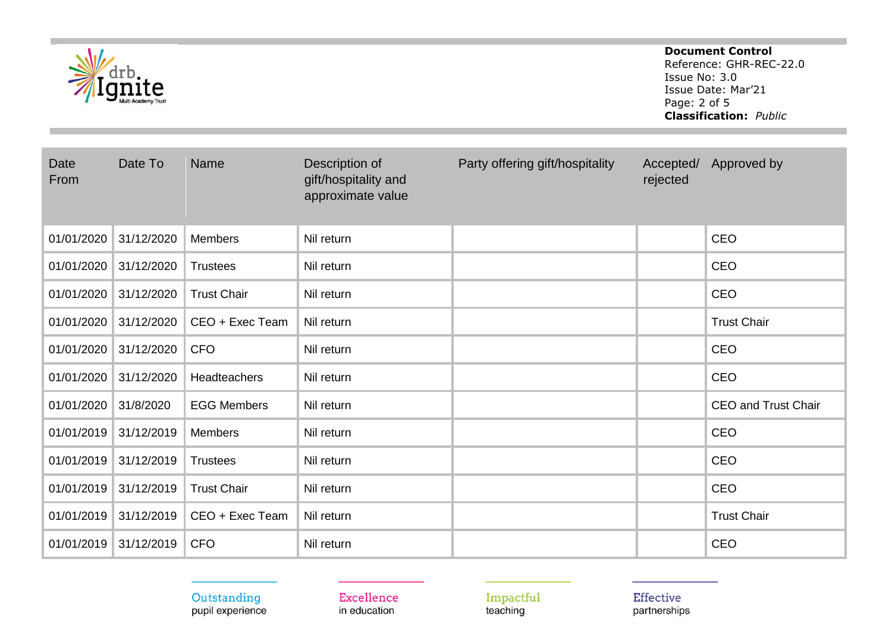|              |            |                    |                                                             |                                 | <b>Document Control</b><br>Reference: GHR-REC-22.0<br>Issue No: 3.0<br>Issue Date: Mar'21<br>Page: 2 of 5<br><b>Classification: Public</b> |                            |
|--------------|------------|--------------------|-------------------------------------------------------------|---------------------------------|--------------------------------------------------------------------------------------------------------------------------------------------|----------------------------|
| Date<br>From | Date To    | <b>Name</b>        | Description of<br>gift/hospitality and<br>approximate value | Party offering gift/hospitality | Accepted/<br>rejected                                                                                                                      | Approved by                |
| 01/01/2020   | 31/12/2020 | <b>Members</b>     | Nil return                                                  |                                 |                                                                                                                                            | <b>CEO</b>                 |
| 01/01/2020   | 31/12/2020 | <b>Trustees</b>    | Nil return                                                  |                                 |                                                                                                                                            | CEO                        |
| 01/01/2020   | 31/12/2020 | <b>Trust Chair</b> | Nil return                                                  |                                 |                                                                                                                                            | <b>CEO</b>                 |
| 01/01/2020   | 31/12/2020 | CEO + Exec Team    | Nil return                                                  |                                 |                                                                                                                                            | <b>Trust Chair</b>         |
| 01/01/2020   | 31/12/2020 | <b>CFO</b>         | Nil return                                                  |                                 |                                                                                                                                            | CEO                        |
| 01/01/2020   | 31/12/2020 | Headteachers       | Nil return                                                  |                                 |                                                                                                                                            | <b>CEO</b>                 |
| 01/01/2020   | 31/8/2020  | <b>EGG Members</b> | Nil return                                                  |                                 |                                                                                                                                            | <b>CEO and Trust Chair</b> |
| 01/01/2019   | 31/12/2019 | <b>Members</b>     | Nil return                                                  |                                 |                                                                                                                                            | CEO                        |
| 01/01/2019   | 31/12/2019 | <b>Trustees</b>    | Nil return                                                  |                                 |                                                                                                                                            | CEO                        |
| 01/01/2019   | 31/12/2019 | <b>Trust Chair</b> | Nil return                                                  |                                 |                                                                                                                                            | CEO                        |
| 01/01/2019   | 31/12/2019 | CEO + Exec Team    | Nil return                                                  |                                 |                                                                                                                                            | <b>Trust Chair</b>         |
| 01/01/2019   | 31/12/2019 | <b>CFO</b>         | Nil return                                                  |                                 |                                                                                                                                            | CEO                        |

## Outstanding<br>pupil experience

Excellence in education

Impactful<br>teaching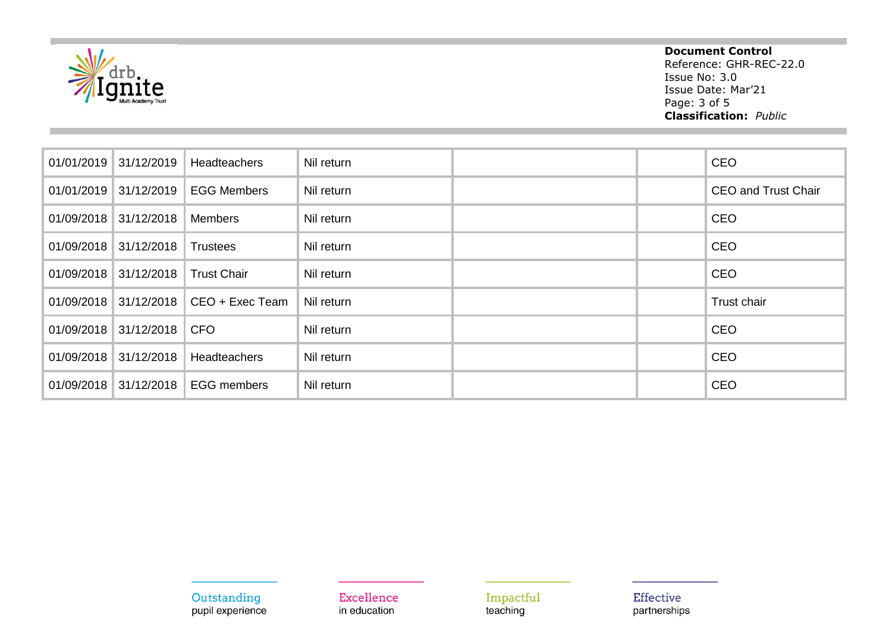

### **Document Control**

Reference: GHR-REC-22.0 Issue No: 3.0 Issue Date: Mar'21 Page: 3 of 5 **Classification:** *Public*

| 01/01/2019 | 31/12/2019 | <b>Headteachers</b> | Nil return |  | <b>CEO</b>                 |
|------------|------------|---------------------|------------|--|----------------------------|
| 01/01/2019 | 31/12/2019 | <b>EGG Members</b>  | Nil return |  | <b>CEO and Trust Chair</b> |
| 01/09/2018 | 31/12/2018 | <b>Members</b>      | Nil return |  | <b>CEO</b>                 |
| 01/09/2018 | 31/12/2018 | <b>Trustees</b>     | Nil return |  | CEO                        |
| 01/09/2018 | 31/12/2018 | <b>Trust Chair</b>  | Nil return |  | <b>CEO</b>                 |
| 01/09/2018 | 31/12/2018 | CEO + Exec Team     | Nil return |  | Trust chair                |
| 01/09/2018 | 31/12/2018 | <b>CFO</b>          | Nil return |  | <b>CEO</b>                 |
| 01/09/2018 | 31/12/2018 | <b>Headteachers</b> | Nil return |  | <b>CEO</b>                 |
| 01/09/2018 | 31/12/2018 | <b>EGG members</b>  | Nil return |  | <b>CEO</b>                 |

Outstanding pupil experience Excellence in education

Impactful teaching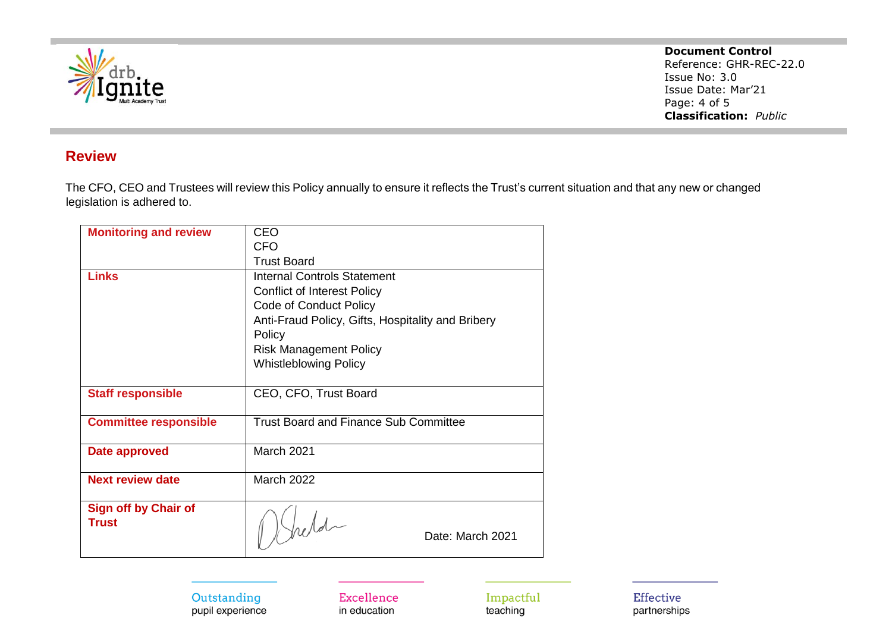

**Document Control**

Reference: GHR-REC-22.0 Issue No: 3.0 Issue Date: Mar'21 Page: 4 of 5 **Classification:** *Public*

### **Review**

The CFO, CEO and Trustees will review this Policy annually to ensure it reflects the Trust's current situation and that any new or changed legislation is adhered to.

| <b>Monitoring and review</b> | <b>CEO</b>                                        |  |  |
|------------------------------|---------------------------------------------------|--|--|
|                              | <b>CFO</b>                                        |  |  |
|                              | <b>Trust Board</b>                                |  |  |
| <b>Links</b>                 | <b>Internal Controls Statement</b>                |  |  |
|                              | <b>Conflict of Interest Policy</b>                |  |  |
|                              | Code of Conduct Policy                            |  |  |
|                              | Anti-Fraud Policy, Gifts, Hospitality and Bribery |  |  |
|                              | Policy                                            |  |  |
|                              | <b>Risk Management Policy</b>                     |  |  |
|                              | <b>Whistleblowing Policy</b>                      |  |  |
|                              |                                                   |  |  |
| <b>Staff responsible</b>     | CEO, CFO, Trust Board                             |  |  |
|                              |                                                   |  |  |
| <b>Committee responsible</b> | <b>Trust Board and Finance Sub Committee</b>      |  |  |
|                              |                                                   |  |  |
| Date approved                | <b>March 2021</b>                                 |  |  |
|                              |                                                   |  |  |
| <b>Next review date</b>      | <b>March 2022</b>                                 |  |  |
| <b>Sign off by Chair of</b>  |                                                   |  |  |
| <b>Trust</b>                 |                                                   |  |  |
|                              | $\int_{\Omega}$ eld<br>Date: March 2021           |  |  |
|                              |                                                   |  |  |

#### Outstanding pupil experience

Excellence in education

Impactful teaching